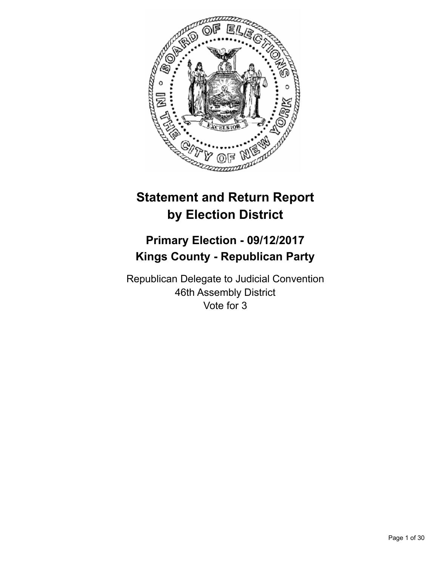

# **Statement and Return Report by Election District**

# **Primary Election - 09/12/2017 Kings County - Republican Party**

Republican Delegate to Judicial Convention 46th Assembly District Vote for 3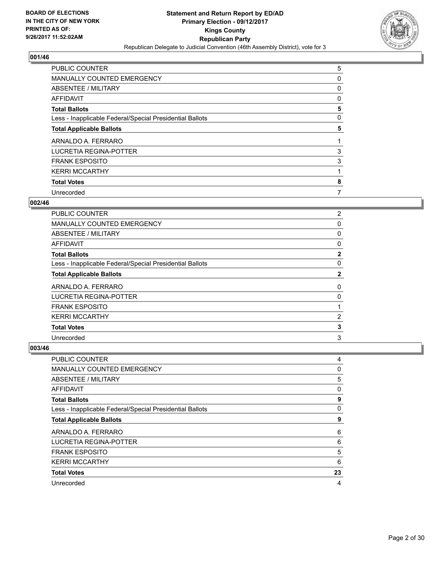

| PUBLIC COUNTER                                           | 5 |
|----------------------------------------------------------|---|
| MANUALLY COUNTED EMERGENCY                               | 0 |
| ABSENTEE / MILITARY                                      | 0 |
| AFFIDAVIT                                                | 0 |
| <b>Total Ballots</b>                                     | 5 |
| Less - Inapplicable Federal/Special Presidential Ballots | 0 |
| <b>Total Applicable Ballots</b>                          | 5 |
| ARNALDO A. FERRARO                                       |   |
| LUCRETIA REGINA-POTTER                                   | 3 |
| <b>FRANK ESPOSITO</b>                                    | 3 |
| <b>KERRI MCCARTHY</b>                                    |   |
| <b>Total Votes</b>                                       | 8 |
| Unrecorded                                               | 7 |

# **002/46**

| PUBLIC COUNTER                                           | $\overline{2}$ |
|----------------------------------------------------------|----------------|
| <b>MANUALLY COUNTED EMERGENCY</b>                        | 0              |
| ABSENTEE / MILITARY                                      | 0              |
| AFFIDAVIT                                                | 0              |
| <b>Total Ballots</b>                                     | $\mathbf{2}$   |
| Less - Inapplicable Federal/Special Presidential Ballots | 0              |
| <b>Total Applicable Ballots</b>                          | $\mathbf{2}$   |
| ARNALDO A. FERRARO                                       | 0              |
| <b>LUCRETIA REGINA-POTTER</b>                            | 0              |
| <b>FRANK ESPOSITO</b>                                    |                |
| <b>KERRI MCCARTHY</b>                                    | 2              |
| <b>Total Votes</b>                                       | 3              |
| Unrecorded                                               | 3              |

| <b>PUBLIC COUNTER</b>                                    | 4  |
|----------------------------------------------------------|----|
| <b>MANUALLY COUNTED EMERGENCY</b>                        | 0  |
| ABSENTEE / MILITARY                                      | 5  |
| AFFIDAVIT                                                | 0  |
| <b>Total Ballots</b>                                     | 9  |
| Less - Inapplicable Federal/Special Presidential Ballots | 0  |
| <b>Total Applicable Ballots</b>                          | 9  |
| ARNALDO A. FERRARO                                       | 6  |
| <b>LUCRETIA REGINA-POTTER</b>                            | 6  |
| <b>FRANK ESPOSITO</b>                                    | 5  |
| <b>KERRI MCCARTHY</b>                                    | 6  |
| <b>Total Votes</b>                                       | 23 |
| Unrecorded                                               | 4  |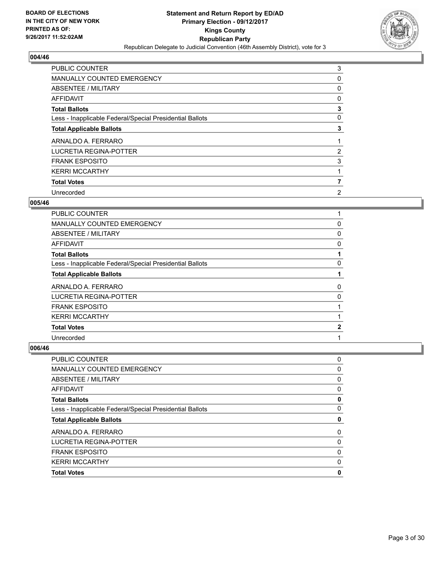

| <b>PUBLIC COUNTER</b>                                    | 3              |
|----------------------------------------------------------|----------------|
| <b>MANUALLY COUNTED EMERGENCY</b>                        | 0              |
| ABSENTEE / MILITARY                                      | 0              |
| AFFIDAVIT                                                | 0              |
| <b>Total Ballots</b>                                     | 3              |
| Less - Inapplicable Federal/Special Presidential Ballots | 0              |
| <b>Total Applicable Ballots</b>                          | 3              |
| ARNALDO A. FERRARO                                       |                |
| LUCRETIA REGINA-POTTER                                   | 2              |
| <b>FRANK ESPOSITO</b>                                    | 3              |
| <b>KERRI MCCARTHY</b>                                    |                |
| <b>Total Votes</b>                                       | 7              |
| Unrecorded                                               | $\overline{2}$ |

## **005/46**

| <b>PUBLIC COUNTER</b>                                    |              |
|----------------------------------------------------------|--------------|
| <b>MANUALLY COUNTED EMERGENCY</b>                        | 0            |
| ABSENTEE / MILITARY                                      | 0            |
| AFFIDAVIT                                                | 0            |
| <b>Total Ballots</b>                                     |              |
| Less - Inapplicable Federal/Special Presidential Ballots | 0            |
| <b>Total Applicable Ballots</b>                          |              |
| ARNALDO A. FERRARO                                       | 0            |
| LUCRETIA REGINA-POTTER                                   | 0            |
| <b>FRANK ESPOSITO</b>                                    |              |
| <b>KERRI MCCARTHY</b>                                    |              |
| <b>Total Votes</b>                                       | $\mathbf{2}$ |
| Unrecorded                                               |              |

| PUBLIC COUNTER                                           | 0 |
|----------------------------------------------------------|---|
| <b>MANUALLY COUNTED EMERGENCY</b>                        | 0 |
| ABSENTEE / MILITARY                                      | 0 |
| AFFIDAVIT                                                | 0 |
| <b>Total Ballots</b>                                     | 0 |
| Less - Inapplicable Federal/Special Presidential Ballots | 0 |
| <b>Total Applicable Ballots</b>                          | 0 |
|                                                          | 0 |
| ARNALDO A. FERRARO                                       |   |
| LUCRETIA REGINA-POTTER                                   | 0 |
| <b>FRANK ESPOSITO</b>                                    | 0 |
| <b>KERRI MCCARTHY</b>                                    | 0 |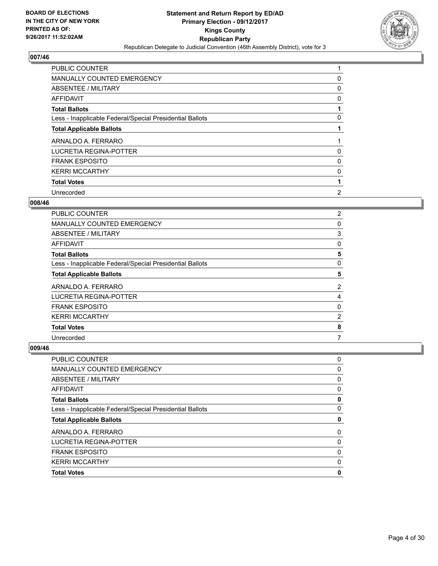

| <b>PUBLIC COUNTER</b>                                    |                |
|----------------------------------------------------------|----------------|
| MANUALLY COUNTED EMERGENCY                               | 0              |
| ABSENTEE / MILITARY                                      | 0              |
| AFFIDAVIT                                                | 0              |
| <b>Total Ballots</b>                                     |                |
| Less - Inapplicable Federal/Special Presidential Ballots | 0              |
| <b>Total Applicable Ballots</b>                          |                |
| ARNALDO A. FERRARO                                       |                |
| LUCRETIA REGINA-POTTER                                   | 0              |
| <b>FRANK ESPOSITO</b>                                    | 0              |
| <b>KERRI MCCARTHY</b>                                    | 0              |
| <b>Total Votes</b>                                       |                |
| Unrecorded                                               | $\overline{2}$ |

## **008/46**

| PUBLIC COUNTER                                           | $\overline{2}$ |
|----------------------------------------------------------|----------------|
| MANUALLY COUNTED EMERGENCY                               | 0              |
| ABSENTEE / MILITARY                                      | 3              |
| <b>AFFIDAVIT</b>                                         | 0              |
| <b>Total Ballots</b>                                     | 5              |
| Less - Inapplicable Federal/Special Presidential Ballots | 0              |
| <b>Total Applicable Ballots</b>                          | 5              |
| ARNALDO A. FERRARO                                       | $\overline{2}$ |
| LUCRETIA REGINA-POTTER                                   | 4              |
| <b>FRANK ESPOSITO</b>                                    | 0              |
| <b>KERRI MCCARTHY</b>                                    | $\overline{2}$ |
| <b>Total Votes</b>                                       | 8              |
| Unrecorded                                               | 7              |

| <b>Total Votes</b>                                       | 0 |
|----------------------------------------------------------|---|
| <b>KERRI MCCARTHY</b>                                    | 0 |
| <b>FRANK ESPOSITO</b>                                    | 0 |
| <b>LUCRETIA REGINA-POTTER</b>                            | 0 |
| ARNALDO A. FERRARO                                       | 0 |
| <b>Total Applicable Ballots</b>                          | 0 |
| Less - Inapplicable Federal/Special Presidential Ballots | 0 |
| <b>Total Ballots</b>                                     | 0 |
| AFFIDAVIT                                                | 0 |
| ABSENTEE / MILITARY                                      | 0 |
| <b>MANUALLY COUNTED EMERGENCY</b>                        | 0 |
| PUBLIC COUNTER                                           | 0 |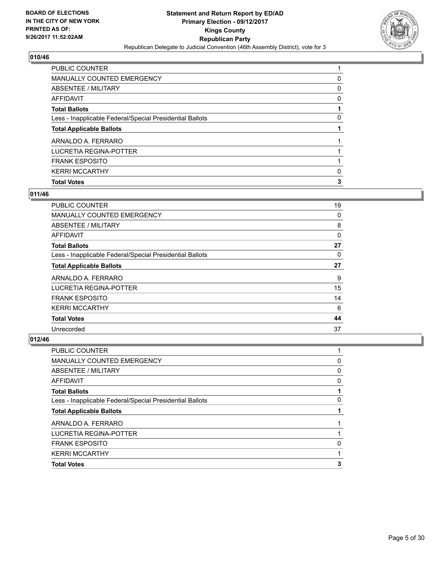

| <b>PUBLIC COUNTER</b>                                    |   |
|----------------------------------------------------------|---|
| MANUALLY COUNTED EMERGENCY                               | 0 |
| ABSENTEE / MILITARY                                      | 0 |
| AFFIDAVIT                                                | 0 |
| <b>Total Ballots</b>                                     |   |
| Less - Inapplicable Federal/Special Presidential Ballots | 0 |
| <b>Total Applicable Ballots</b>                          |   |
| ARNALDO A. FERRARO                                       |   |
| LUCRETIA REGINA-POTTER                                   |   |
| <b>FRANK ESPOSITO</b>                                    |   |
| <b>KERRI MCCARTHY</b>                                    | 0 |
| <b>Total Votes</b>                                       | 3 |

# **011/46**

| <b>PUBLIC COUNTER</b>                                    | 19 |
|----------------------------------------------------------|----|
| <b>MANUALLY COUNTED EMERGENCY</b>                        | 0  |
| ABSENTEE / MILITARY                                      | 8  |
| AFFIDAVIT                                                | 0  |
| <b>Total Ballots</b>                                     | 27 |
| Less - Inapplicable Federal/Special Presidential Ballots | 0  |
| <b>Total Applicable Ballots</b>                          | 27 |
| ARNALDO A. FERRARO                                       | 9  |
| LUCRETIA REGINA-POTTER                                   | 15 |
| <b>FRANK ESPOSITO</b>                                    | 14 |
| <b>KERRI MCCARTHY</b>                                    | 6  |
| <b>Total Votes</b>                                       | 44 |
| Unrecorded                                               | 37 |

| <b>PUBLIC COUNTER</b>                                    |   |
|----------------------------------------------------------|---|
| <b>MANUALLY COUNTED EMERGENCY</b>                        | 0 |
| ABSENTEE / MILITARY                                      | 0 |
| AFFIDAVIT                                                | 0 |
| <b>Total Ballots</b>                                     |   |
| Less - Inapplicable Federal/Special Presidential Ballots | 0 |
| <b>Total Applicable Ballots</b>                          |   |
| ARNALDO A. FERRARO                                       |   |
| LUCRETIA REGINA-POTTER                                   |   |
| <b>FRANK ESPOSITO</b>                                    | 0 |
| <b>KERRI MCCARTHY</b>                                    |   |
| <b>Total Votes</b>                                       | 3 |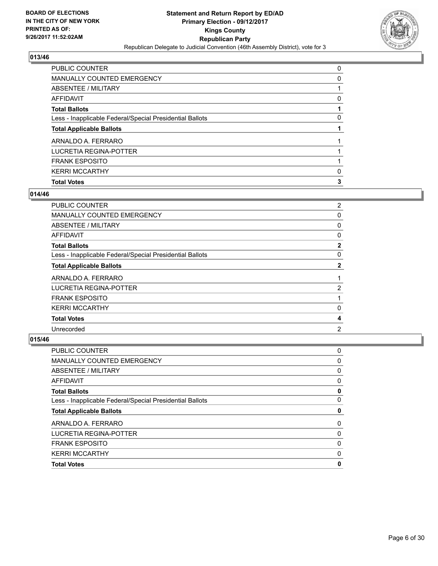

| <b>PUBLIC COUNTER</b>                                    | 0 |
|----------------------------------------------------------|---|
| MANUALLY COUNTED EMERGENCY                               | 0 |
| <b>ABSENTEE / MILITARY</b>                               |   |
| AFFIDAVIT                                                | 0 |
| <b>Total Ballots</b>                                     |   |
| Less - Inapplicable Federal/Special Presidential Ballots | 0 |
| <b>Total Applicable Ballots</b>                          |   |
| ARNALDO A. FERRARO                                       |   |
| LUCRETIA REGINA-POTTER                                   |   |
| <b>FRANK ESPOSITO</b>                                    |   |
| <b>KERRI MCCARTHY</b>                                    | 0 |
| <b>Total Votes</b>                                       | 3 |

# **014/46**

| PUBLIC COUNTER                                           | 2              |
|----------------------------------------------------------|----------------|
|                                                          |                |
| MANUALLY COUNTED EMERGENCY                               | 0              |
| ABSENTEE / MILITARY                                      | 0              |
| AFFIDAVIT                                                | 0              |
| <b>Total Ballots</b>                                     | $\mathbf{2}$   |
| Less - Inapplicable Federal/Special Presidential Ballots | 0              |
| <b>Total Applicable Ballots</b>                          | $\mathbf{2}$   |
| ARNALDO A. FERRARO                                       | 1              |
| LUCRETIA REGINA-POTTER                                   | $\overline{2}$ |
| <b>FRANK ESPOSITO</b>                                    | 1              |
| <b>KERRI MCCARTHY</b>                                    | 0              |
| <b>Total Votes</b>                                       | 4              |
| Unrecorded                                               | $\overline{2}$ |
|                                                          |                |

| PUBLIC COUNTER                                           | 0        |
|----------------------------------------------------------|----------|
| <b>MANUALLY COUNTED EMERGENCY</b>                        | 0        |
| ABSENTEE / MILITARY                                      | 0        |
| AFFIDAVIT                                                | 0        |
| <b>Total Ballots</b>                                     | 0        |
| Less - Inapplicable Federal/Special Presidential Ballots | 0        |
| <b>Total Applicable Ballots</b>                          | 0        |
| ARNALDO A. FERRARO                                       | $\Omega$ |
| LUCRETIA REGINA-POTTER                                   | 0        |
| <b>FRANK ESPOSITO</b>                                    | 0        |
| <b>KERRI MCCARTHY</b>                                    | 0        |
| <b>Total Votes</b>                                       | 0        |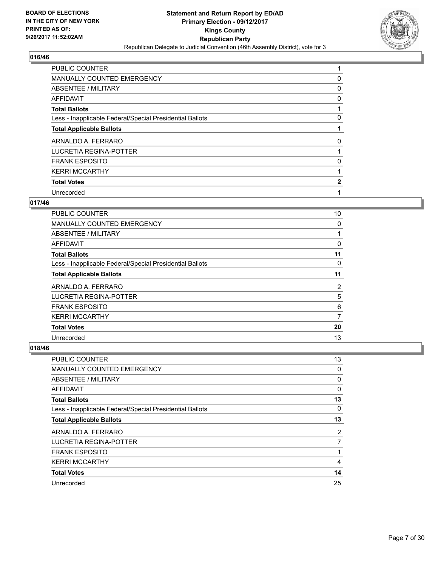

| PUBLIC COUNTER                                           |   |
|----------------------------------------------------------|---|
| MANUALLY COUNTED EMERGENCY                               | 0 |
| ABSENTEE / MILITARY                                      | 0 |
| AFFIDAVIT                                                | 0 |
| <b>Total Ballots</b>                                     |   |
| Less - Inapplicable Federal/Special Presidential Ballots | 0 |
| <b>Total Applicable Ballots</b>                          |   |
| ARNALDO A. FERRARO                                       | 0 |
| LUCRETIA REGINA-POTTER                                   |   |
| <b>FRANK ESPOSITO</b>                                    | 0 |
| <b>KERRI MCCARTHY</b>                                    |   |
| <b>Total Votes</b>                                       | 2 |
| Unrecorded                                               |   |

# **017/46**

| <b>PUBLIC COUNTER</b>                                    | 10 |
|----------------------------------------------------------|----|
| <b>MANUALLY COUNTED EMERGENCY</b>                        | 0  |
| ABSENTEE / MILITARY                                      |    |
| AFFIDAVIT                                                | 0  |
| <b>Total Ballots</b>                                     | 11 |
| Less - Inapplicable Federal/Special Presidential Ballots | 0  |
| <b>Total Applicable Ballots</b>                          | 11 |
| ARNALDO A. FERRARO                                       | 2  |
| LUCRETIA REGINA-POTTER                                   | 5  |
| <b>FRANK ESPOSITO</b>                                    | 6  |
| <b>KERRI MCCARTHY</b>                                    | 7  |
| <b>Total Votes</b>                                       | 20 |
| Unrecorded                                               | 13 |

| <b>PUBLIC COUNTER</b>                                    | 13 |
|----------------------------------------------------------|----|
| <b>MANUALLY COUNTED EMERGENCY</b>                        | 0  |
| ABSENTEE / MILITARY                                      | 0  |
| AFFIDAVIT                                                | 0  |
| <b>Total Ballots</b>                                     | 13 |
| Less - Inapplicable Federal/Special Presidential Ballots | 0  |
| <b>Total Applicable Ballots</b>                          | 13 |
| ARNALDO A. FERRARO                                       | 2  |
| LUCRETIA REGINA-POTTER                                   | 7  |
| <b>FRANK ESPOSITO</b>                                    |    |
| <b>KERRI MCCARTHY</b>                                    | 4  |
| <b>Total Votes</b>                                       | 14 |
| Unrecorded                                               | 25 |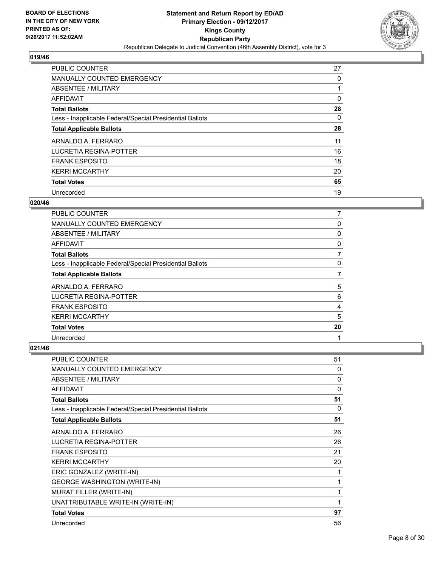

| <b>PUBLIC COUNTER</b>                                    | 27 |
|----------------------------------------------------------|----|
| <b>MANUALLY COUNTED EMERGENCY</b>                        | 0  |
| ABSENTEE / MILITARY                                      |    |
| <b>AFFIDAVIT</b>                                         | 0  |
| <b>Total Ballots</b>                                     | 28 |
| Less - Inapplicable Federal/Special Presidential Ballots | 0  |
| <b>Total Applicable Ballots</b>                          | 28 |
| ARNALDO A. FERRARO                                       | 11 |
| LUCRETIA REGINA-POTTER                                   | 16 |
| <b>FRANK ESPOSITO</b>                                    | 18 |
| <b>KERRI MCCARTHY</b>                                    | 20 |
| <b>Total Votes</b>                                       | 65 |
| Unrecorded                                               | 19 |

# **020/46**

| PUBLIC COUNTER                                           |    |
|----------------------------------------------------------|----|
| <b>MANUALLY COUNTED EMERGENCY</b>                        | 0  |
| ABSENTEE / MILITARY                                      | 0  |
| AFFIDAVIT                                                | 0  |
| <b>Total Ballots</b>                                     | 7  |
| Less - Inapplicable Federal/Special Presidential Ballots | 0  |
| <b>Total Applicable Ballots</b>                          | 7  |
| ARNALDO A. FERRARO                                       | 5  |
| LUCRETIA REGINA-POTTER                                   | 6  |
| <b>FRANK ESPOSITO</b>                                    | 4  |
| <b>KERRI MCCARTHY</b>                                    | 5  |
| <b>Total Votes</b>                                       | 20 |
| Unrecorded                                               | 1  |

| <b>PUBLIC COUNTER</b>                                    | 51 |
|----------------------------------------------------------|----|
| <b>MANUALLY COUNTED EMERGENCY</b>                        | 0  |
| ABSENTEE / MILITARY                                      | 0  |
| <b>AFFIDAVIT</b>                                         | 0  |
| <b>Total Ballots</b>                                     | 51 |
| Less - Inapplicable Federal/Special Presidential Ballots | 0  |
| <b>Total Applicable Ballots</b>                          | 51 |
| ARNALDO A. FERRARO                                       | 26 |
| <b>LUCRETIA REGINA-POTTER</b>                            | 26 |
| <b>FRANK ESPOSITO</b>                                    | 21 |
| <b>KERRI MCCARTHY</b>                                    | 20 |
| ERIC GONZALEZ (WRITE-IN)                                 | 1  |
| <b>GEORGE WASHINGTON (WRITE-IN)</b>                      | 1  |
| <b>MURAT FILLER (WRITE-IN)</b>                           | 1  |
| UNATTRIBUTABLE WRITE-IN (WRITE-IN)                       | 1  |
| <b>Total Votes</b>                                       | 97 |
| Unrecorded                                               | 56 |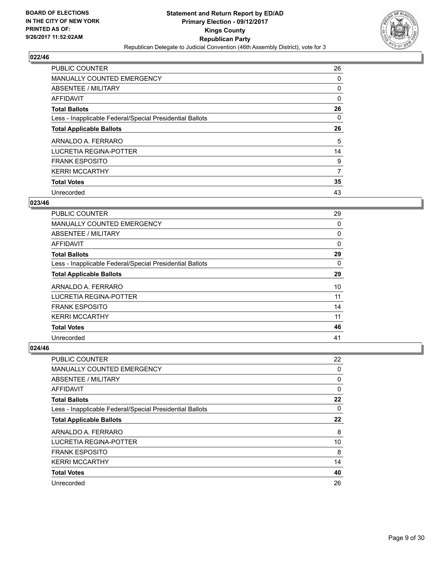

| <b>PUBLIC COUNTER</b>                                    | 26 |
|----------------------------------------------------------|----|
| <b>MANUALLY COUNTED EMERGENCY</b>                        | 0  |
| ABSENTEE / MILITARY                                      | 0  |
| AFFIDAVIT                                                | 0  |
| <b>Total Ballots</b>                                     | 26 |
| Less - Inapplicable Federal/Special Presidential Ballots | 0  |
| <b>Total Applicable Ballots</b>                          | 26 |
| ARNALDO A. FERRARO                                       | 5  |
| LUCRETIA REGINA-POTTER                                   | 14 |
| <b>FRANK ESPOSITO</b>                                    | 9  |
| <b>KERRI MCCARTHY</b>                                    | 7  |
| <b>Total Votes</b>                                       | 35 |
| Unrecorded                                               | 43 |

#### **023/46**

| PUBLIC COUNTER                                           | 29       |
|----------------------------------------------------------|----------|
| <b>MANUALLY COUNTED EMERGENCY</b>                        | 0        |
| ABSENTEE / MILITARY                                      | 0        |
| AFFIDAVIT                                                | 0        |
| <b>Total Ballots</b>                                     | 29       |
| Less - Inapplicable Federal/Special Presidential Ballots | $\Omega$ |
| <b>Total Applicable Ballots</b>                          | 29       |
| ARNALDO A. FERRARO                                       | 10       |
| LUCRETIA REGINA-POTTER                                   | 11       |
| <b>FRANK ESPOSITO</b>                                    | 14       |
| <b>KERRI MCCARTHY</b>                                    | 11       |
| <b>Total Votes</b>                                       | 46       |
| Unrecorded                                               | 41       |

| <b>PUBLIC COUNTER</b>                                    | 22 |
|----------------------------------------------------------|----|
| MANUALLY COUNTED EMERGENCY                               | 0  |
| ABSENTEE / MILITARY                                      | 0  |
| AFFIDAVIT                                                | 0  |
| <b>Total Ballots</b>                                     | 22 |
| Less - Inapplicable Federal/Special Presidential Ballots | 0  |
| <b>Total Applicable Ballots</b>                          | 22 |
| ARNALDO A. FERRARO                                       | 8  |
| LUCRETIA REGINA-POTTER                                   | 10 |
| <b>FRANK ESPOSITO</b>                                    | 8  |
| <b>KERRI MCCARTHY</b>                                    | 14 |
| <b>Total Votes</b>                                       | 40 |
| Unrecorded                                               | 26 |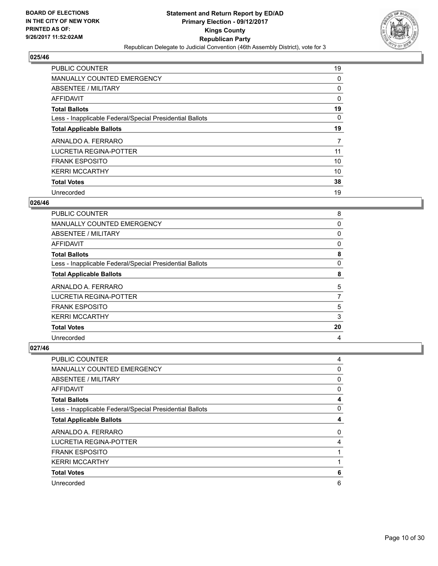

| <b>PUBLIC COUNTER</b>                                    | 19 |
|----------------------------------------------------------|----|
| MANUALLY COUNTED EMERGENCY                               | 0  |
| ABSENTEE / MILITARY                                      | 0  |
| <b>AFFIDAVIT</b>                                         | 0  |
| <b>Total Ballots</b>                                     | 19 |
| Less - Inapplicable Federal/Special Presidential Ballots | 0  |
| <b>Total Applicable Ballots</b>                          | 19 |
| ARNALDO A. FERRARO                                       | 7  |
| LUCRETIA REGINA-POTTER                                   | 11 |
| <b>FRANK ESPOSITO</b>                                    | 10 |
| <b>KERRI MCCARTHY</b>                                    | 10 |
| <b>Total Votes</b>                                       | 38 |
| Unrecorded                                               | 19 |

## **026/46**

| PUBLIC COUNTER                                           | 8  |
|----------------------------------------------------------|----|
| <b>MANUALLY COUNTED EMERGENCY</b>                        | 0  |
| ABSENTEE / MILITARY                                      | 0  |
| AFFIDAVIT                                                | 0  |
| <b>Total Ballots</b>                                     | 8  |
| Less - Inapplicable Federal/Special Presidential Ballots | 0  |
| <b>Total Applicable Ballots</b>                          | 8  |
| ARNALDO A. FERRARO                                       | 5  |
| LUCRETIA REGINA-POTTER                                   | 7  |
| <b>FRANK ESPOSITO</b>                                    | 5  |
| <b>KERRI MCCARTHY</b>                                    | 3  |
| <b>Total Votes</b>                                       | 20 |
| Unrecorded                                               | 4  |

| PUBLIC COUNTER                                           | 4 |
|----------------------------------------------------------|---|
| MANUALLY COUNTED EMERGENCY                               | 0 |
| ABSENTEE / MILITARY                                      | 0 |
| AFFIDAVIT                                                | 0 |
| <b>Total Ballots</b>                                     | 4 |
| Less - Inapplicable Federal/Special Presidential Ballots | 0 |
| <b>Total Applicable Ballots</b>                          | 4 |
| ARNALDO A. FERRARO                                       | 0 |
| <b>LUCRETIA REGINA-POTTER</b>                            | 4 |
| <b>FRANK ESPOSITO</b>                                    |   |
| <b>KERRI MCCARTHY</b>                                    |   |
| <b>Total Votes</b>                                       | 6 |
| Unrecorded                                               | 6 |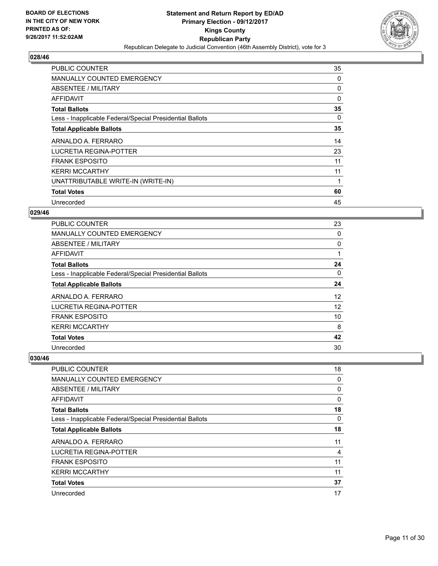

| <b>PUBLIC COUNTER</b>                                    | 35       |
|----------------------------------------------------------|----------|
| <b>MANUALLY COUNTED EMERGENCY</b>                        | 0        |
| ABSENTEE / MILITARY                                      | 0        |
| AFFIDAVIT                                                | $\Omega$ |
| <b>Total Ballots</b>                                     | 35       |
| Less - Inapplicable Federal/Special Presidential Ballots | 0        |
| <b>Total Applicable Ballots</b>                          | 35       |
| ARNALDO A. FERRARO                                       | 14       |
| <b>LUCRETIA REGINA-POTTER</b>                            | 23       |
| <b>FRANK ESPOSITO</b>                                    | 11       |
| <b>KERRI MCCARTHY</b>                                    | 11       |
| UNATTRIBUTABLE WRITE-IN (WRITE-IN)                       |          |
| <b>Total Votes</b>                                       | 60       |
| Unrecorded                                               | 45       |

# **029/46**

| <b>PUBLIC COUNTER</b>                                    | 23 |
|----------------------------------------------------------|----|
| <b>MANUALLY COUNTED EMERGENCY</b>                        | 0  |
| ABSENTEE / MILITARY                                      | 0  |
| AFFIDAVIT                                                |    |
| <b>Total Ballots</b>                                     | 24 |
| Less - Inapplicable Federal/Special Presidential Ballots | 0  |
| <b>Total Applicable Ballots</b>                          | 24 |
| ARNALDO A. FERRARO                                       | 12 |
| LUCRETIA REGINA-POTTER                                   | 12 |
| <b>FRANK ESPOSITO</b>                                    | 10 |
| <b>KERRI MCCARTHY</b>                                    | 8  |
| <b>Total Votes</b>                                       | 42 |
| Unrecorded                                               | 30 |

| PUBLIC COUNTER                                           | 18 |
|----------------------------------------------------------|----|
| <b>MANUALLY COUNTED EMERGENCY</b>                        | 0  |
| ABSENTEE / MILITARY                                      | 0  |
| AFFIDAVIT                                                | 0  |
| <b>Total Ballots</b>                                     | 18 |
| Less - Inapplicable Federal/Special Presidential Ballots | 0  |
| <b>Total Applicable Ballots</b>                          | 18 |
| ARNALDO A. FERRARO                                       | 11 |
| <b>LUCRETIA REGINA-POTTER</b>                            | 4  |
| <b>FRANK ESPOSITO</b>                                    | 11 |
| <b>KERRI MCCARTHY</b>                                    | 11 |
| <b>Total Votes</b>                                       | 37 |
| Unrecorded                                               | 17 |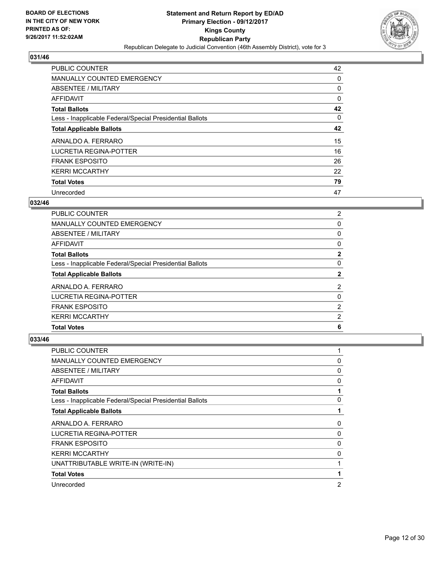

| <b>PUBLIC COUNTER</b>                                    | 42 |
|----------------------------------------------------------|----|
| <b>MANUALLY COUNTED EMERGENCY</b>                        | 0  |
| ABSENTEE / MILITARY                                      | 0  |
| AFFIDAVIT                                                | 0  |
| <b>Total Ballots</b>                                     | 42 |
| Less - Inapplicable Federal/Special Presidential Ballots | 0  |
| <b>Total Applicable Ballots</b>                          | 42 |
| ARNALDO A. FERRARO                                       | 15 |
| LUCRETIA REGINA-POTTER                                   | 16 |
| <b>FRANK ESPOSITO</b>                                    | 26 |
| <b>KERRI MCCARTHY</b>                                    | 22 |
| <b>Total Votes</b>                                       | 79 |
| Unrecorded                                               | 47 |

# **032/46**

| PUBLIC COUNTER                                           | $\mathbf{2}^{\prime}$ |
|----------------------------------------------------------|-----------------------|
| <b>MANUALLY COUNTED EMERGENCY</b>                        | 0                     |
| ABSENTEE / MILITARY                                      | 0                     |
| AFFIDAVIT                                                | 0                     |
| <b>Total Ballots</b>                                     | $\mathbf{2}$          |
| Less - Inapplicable Federal/Special Presidential Ballots | 0                     |
| <b>Total Applicable Ballots</b>                          | 2                     |
| ARNALDO A. FERRARO                                       | $\mathbf{2}^{\prime}$ |
| LUCRETIA REGINA-POTTER                                   | 0                     |
| <b>FRANK ESPOSITO</b>                                    | $\overline{2}$        |
| <b>KERRI MCCARTHY</b>                                    | 2                     |
| <b>Total Votes</b>                                       | 6                     |

| <b>PUBLIC COUNTER</b>                                    |                |
|----------------------------------------------------------|----------------|
| <b>MANUALLY COUNTED EMERGENCY</b>                        | 0              |
| ABSENTEE / MILITARY                                      | 0              |
| AFFIDAVIT                                                | 0              |
| <b>Total Ballots</b>                                     |                |
| Less - Inapplicable Federal/Special Presidential Ballots | 0              |
| <b>Total Applicable Ballots</b>                          |                |
| ARNALDO A. FERRARO                                       | 0              |
| LUCRETIA REGINA-POTTER                                   | 0              |
| <b>FRANK ESPOSITO</b>                                    | 0              |
| <b>KERRI MCCARTHY</b>                                    | 0              |
| UNATTRIBUTABLE WRITE-IN (WRITE-IN)                       |                |
| <b>Total Votes</b>                                       |                |
| Unrecorded                                               | $\overline{2}$ |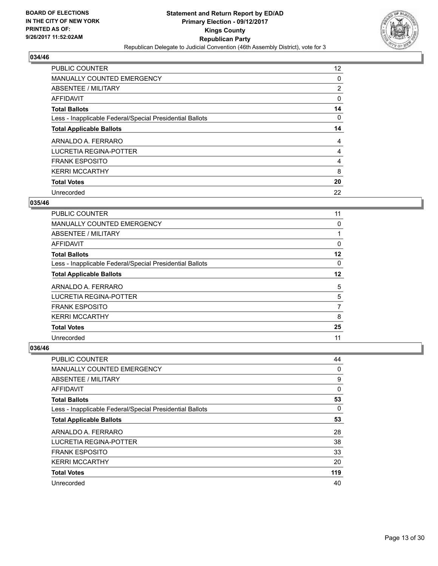

| <b>PUBLIC COUNTER</b>                                    | 12 <sup>2</sup> |
|----------------------------------------------------------|-----------------|
| <b>MANUALLY COUNTED EMERGENCY</b>                        | 0               |
| ABSENTEE / MILITARY                                      | 2               |
| <b>AFFIDAVIT</b>                                         | 0               |
| <b>Total Ballots</b>                                     | 14              |
| Less - Inapplicable Federal/Special Presidential Ballots | 0               |
| <b>Total Applicable Ballots</b>                          | 14              |
| ARNALDO A. FERRARO                                       | 4               |
| LUCRETIA REGINA-POTTER                                   | 4               |
| <b>FRANK ESPOSITO</b>                                    | 4               |
| <b>KERRI MCCARTHY</b>                                    | 8               |
| <b>Total Votes</b>                                       | 20              |
| Unrecorded                                               | 22              |

## **035/46**

| <b>PUBLIC COUNTER</b>                                    | 11      |
|----------------------------------------------------------|---------|
| <b>MANUALLY COUNTED EMERGENCY</b>                        | 0       |
| ABSENTEE / MILITARY                                      |         |
| AFFIDAVIT                                                | 0       |
| <b>Total Ballots</b>                                     | 12      |
| Less - Inapplicable Federal/Special Presidential Ballots | 0       |
| <b>Total Applicable Ballots</b>                          | $12 \,$ |
| ARNALDO A. FERRARO                                       | 5       |
| LUCRETIA REGINA-POTTER                                   | 5       |
| <b>FRANK ESPOSITO</b>                                    | 7       |
| <b>KERRI MCCARTHY</b>                                    | 8       |
| <b>Total Votes</b>                                       | 25      |
| Unrecorded                                               | 11      |

| <b>PUBLIC COUNTER</b>                                    | 44  |
|----------------------------------------------------------|-----|
| <b>MANUALLY COUNTED EMERGENCY</b>                        | 0   |
| ABSENTEE / MILITARY                                      | 9   |
| AFFIDAVIT                                                | 0   |
| <b>Total Ballots</b>                                     | 53  |
| Less - Inapplicable Federal/Special Presidential Ballots | 0   |
| <b>Total Applicable Ballots</b>                          | 53  |
| ARNALDO A. FERRARO                                       | 28  |
| LUCRETIA REGINA-POTTER                                   | 38  |
| <b>FRANK ESPOSITO</b>                                    | 33  |
| <b>KERRI MCCARTHY</b>                                    | 20  |
| <b>Total Votes</b>                                       | 119 |
| Unrecorded                                               | 40  |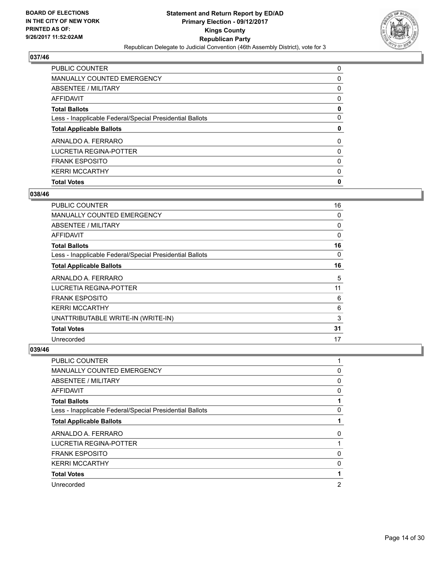

| PUBLIC COUNTER                                           | 0 |
|----------------------------------------------------------|---|
| MANUALLY COUNTED EMERGENCY                               | 0 |
| ABSENTEE / MILITARY                                      | 0 |
| AFFIDAVIT                                                | 0 |
| <b>Total Ballots</b>                                     | 0 |
| Less - Inapplicable Federal/Special Presidential Ballots | 0 |
| <b>Total Applicable Ballots</b>                          | 0 |
| ARNALDO A. FERRARO                                       | 0 |
| LUCRETIA REGINA-POTTER                                   | 0 |
| <b>FRANK ESPOSITO</b>                                    | 0 |
| <b>KERRI MCCARTHY</b>                                    | 0 |
| <b>Total Votes</b>                                       | 0 |

# **038/46**

| <b>PUBLIC COUNTER</b>                                    | 16          |
|----------------------------------------------------------|-------------|
| <b>MANUALLY COUNTED EMERGENCY</b>                        | 0           |
| ABSENTEE / MILITARY                                      | 0           |
| AFFIDAVIT                                                | $\mathbf 0$ |
| <b>Total Ballots</b>                                     | 16          |
| Less - Inapplicable Federal/Special Presidential Ballots | 0           |
| <b>Total Applicable Ballots</b>                          | 16          |
| ARNALDO A. FERRARO                                       | 5           |
| LUCRETIA REGINA-POTTER                                   | 11          |
| <b>FRANK ESPOSITO</b>                                    | 6           |
| <b>KERRI MCCARTHY</b>                                    | 6           |
| UNATTRIBUTABLE WRITE-IN (WRITE-IN)                       | 3           |
| <b>Total Votes</b>                                       | 31          |
| Unrecorded                                               | 17          |

| PUBLIC COUNTER                                           |                |
|----------------------------------------------------------|----------------|
| <b>MANUALLY COUNTED EMERGENCY</b>                        | 0              |
| ABSENTEE / MILITARY                                      | 0              |
| <b>AFFIDAVIT</b>                                         | 0              |
| <b>Total Ballots</b>                                     |                |
| Less - Inapplicable Federal/Special Presidential Ballots | 0              |
| <b>Total Applicable Ballots</b>                          |                |
| ARNALDO A. FERRARO                                       | 0              |
| LUCRETIA REGINA-POTTER                                   |                |
| <b>FRANK ESPOSITO</b>                                    | 0              |
| <b>KERRI MCCARTHY</b>                                    | 0              |
| <b>Total Votes</b>                                       |                |
| Unrecorded                                               | $\overline{2}$ |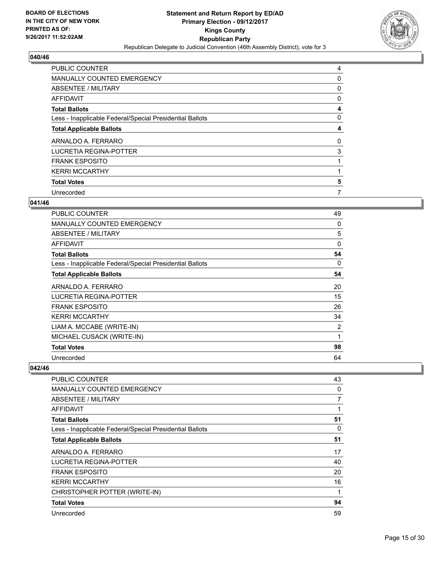

| <b>PUBLIC COUNTER</b>                                    | 4 |
|----------------------------------------------------------|---|
| <b>MANUALLY COUNTED EMERGENCY</b>                        | 0 |
| ABSENTEE / MILITARY                                      | 0 |
| AFFIDAVIT                                                | 0 |
| <b>Total Ballots</b>                                     | 4 |
| Less - Inapplicable Federal/Special Presidential Ballots | 0 |
| <b>Total Applicable Ballots</b>                          | 4 |
| ARNALDO A. FERRARO                                       | 0 |
| LUCRETIA REGINA-POTTER                                   | 3 |
| <b>FRANK ESPOSITO</b>                                    |   |
| <b>KERRI MCCARTHY</b>                                    |   |
| <b>Total Votes</b>                                       | 5 |
| Unrecorded                                               | 7 |

## **041/46**

| <b>PUBLIC COUNTER</b>                                    | 49       |
|----------------------------------------------------------|----------|
| <b>MANUALLY COUNTED EMERGENCY</b>                        | 0        |
| <b>ABSENTEE / MILITARY</b>                               | 5        |
| <b>AFFIDAVIT</b>                                         | $\Omega$ |
| <b>Total Ballots</b>                                     | 54       |
| Less - Inapplicable Federal/Special Presidential Ballots | 0        |
| <b>Total Applicable Ballots</b>                          | 54       |
| ARNALDO A. FERRARO                                       | 20       |
| <b>LUCRETIA REGINA-POTTER</b>                            | 15       |
| <b>FRANK ESPOSITO</b>                                    | 26       |
| <b>KERRI MCCARTHY</b>                                    | 34       |
| LIAM A. MCCABE (WRITE-IN)                                | 2        |
| MICHAEL CUSACK (WRITE-IN)                                | 1        |
| <b>Total Votes</b>                                       | 98       |
| Unrecorded                                               | 64       |

| <b>PUBLIC COUNTER</b>                                    | 43 |
|----------------------------------------------------------|----|
| <b>MANUALLY COUNTED EMERGENCY</b>                        | 0  |
| <b>ABSENTEE / MILITARY</b>                               | 7  |
| <b>AFFIDAVIT</b>                                         |    |
| <b>Total Ballots</b>                                     | 51 |
| Less - Inapplicable Federal/Special Presidential Ballots | 0  |
| <b>Total Applicable Ballots</b>                          | 51 |
| ARNALDO A. FERRARO                                       | 17 |
| LUCRETIA REGINA-POTTER                                   | 40 |
| <b>FRANK ESPOSITO</b>                                    | 20 |
| <b>KERRI MCCARTHY</b>                                    | 16 |
| CHRISTOPHER POTTER (WRITE-IN)                            | 1  |
| <b>Total Votes</b>                                       | 94 |
| Unrecorded                                               | 59 |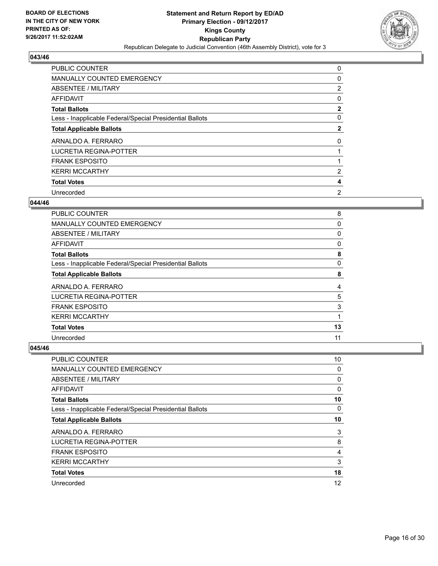

| <b>PUBLIC COUNTER</b>                                    | 0              |
|----------------------------------------------------------|----------------|
| <b>MANUALLY COUNTED EMERGENCY</b>                        | 0              |
| ABSENTEE / MILITARY                                      | $\overline{2}$ |
| AFFIDAVIT                                                | 0              |
| <b>Total Ballots</b>                                     | $\mathbf{2}$   |
| Less - Inapplicable Federal/Special Presidential Ballots | 0              |
| <b>Total Applicable Ballots</b>                          | $\mathbf{2}$   |
| ARNALDO A. FERRARO                                       | 0              |
| LUCRETIA REGINA-POTTER                                   |                |
| <b>FRANK ESPOSITO</b>                                    |                |
| <b>KERRI MCCARTHY</b>                                    | $\overline{2}$ |
| <b>Total Votes</b>                                       | 4              |
| Unrecorded                                               | 2              |

# **044/46**

| <b>PUBLIC COUNTER</b>                                    | 8  |
|----------------------------------------------------------|----|
| <b>MANUALLY COUNTED EMERGENCY</b>                        | 0  |
| ABSENTEE / MILITARY                                      | 0  |
| AFFIDAVIT                                                | 0  |
| <b>Total Ballots</b>                                     | 8  |
| Less - Inapplicable Federal/Special Presidential Ballots | 0  |
| <b>Total Applicable Ballots</b>                          | 8  |
| ARNALDO A. FERRARO                                       | 4  |
| LUCRETIA REGINA-POTTER                                   | 5  |
| <b>FRANK ESPOSITO</b>                                    | 3  |
| <b>KERRI MCCARTHY</b>                                    |    |
| <b>Total Votes</b>                                       | 13 |
| Unrecorded                                               | 11 |

| <b>PUBLIC COUNTER</b>                                    | 10 |
|----------------------------------------------------------|----|
| <b>MANUALLY COUNTED EMERGENCY</b>                        | 0  |
| ABSENTEE / MILITARY                                      | 0  |
| AFFIDAVIT                                                | 0  |
| <b>Total Ballots</b>                                     | 10 |
| Less - Inapplicable Federal/Special Presidential Ballots | 0  |
| <b>Total Applicable Ballots</b>                          | 10 |
| ARNALDO A. FERRARO                                       | 3  |
| LUCRETIA REGINA-POTTER                                   | 8  |
| <b>FRANK ESPOSITO</b>                                    | 4  |
| <b>KERRI MCCARTHY</b>                                    | 3  |
| <b>Total Votes</b>                                       | 18 |
| Unrecorded                                               | 12 |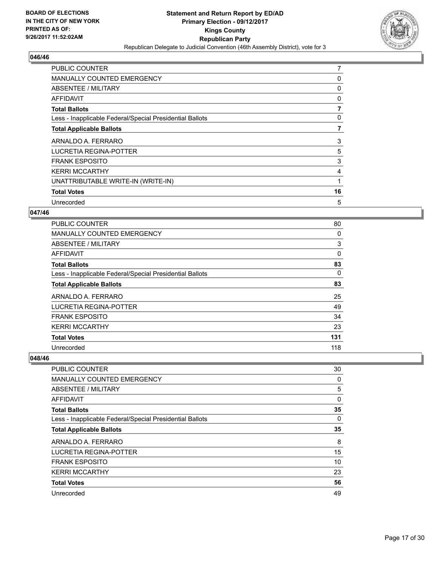

| <b>PUBLIC COUNTER</b>                                    | 7  |
|----------------------------------------------------------|----|
| <b>MANUALLY COUNTED EMERGENCY</b>                        | 0  |
| ABSENTEE / MILITARY                                      | 0  |
| <b>AFFIDAVIT</b>                                         | 0  |
| <b>Total Ballots</b>                                     | 7  |
| Less - Inapplicable Federal/Special Presidential Ballots | 0  |
| <b>Total Applicable Ballots</b>                          | 7  |
| ARNALDO A. FERRARO                                       | 3  |
| LUCRETIA REGINA-POTTER                                   | 5  |
| <b>FRANK ESPOSITO</b>                                    | 3  |
| <b>KERRI MCCARTHY</b>                                    | 4  |
| UNATTRIBUTABLE WRITE-IN (WRITE-IN)                       |    |
|                                                          |    |
| <b>Total Votes</b>                                       | 16 |

# **047/46**

| <b>PUBLIC COUNTER</b>                                    | 80  |
|----------------------------------------------------------|-----|
| <b>MANUALLY COUNTED EMERGENCY</b>                        | 0   |
| ABSENTEE / MILITARY                                      | 3   |
| AFFIDAVIT                                                | 0   |
| <b>Total Ballots</b>                                     | 83  |
| Less - Inapplicable Federal/Special Presidential Ballots | 0   |
| <b>Total Applicable Ballots</b>                          | 83  |
| ARNALDO A. FERRARO                                       | 25  |
| LUCRETIA REGINA-POTTER                                   | 49  |
| <b>FRANK ESPOSITO</b>                                    | 34  |
| <b>KERRI MCCARTHY</b>                                    | 23  |
| <b>Total Votes</b>                                       | 131 |
| Unrecorded                                               | 118 |

| <b>PUBLIC COUNTER</b>                                    | 30 |
|----------------------------------------------------------|----|
| <b>MANUALLY COUNTED EMERGENCY</b>                        | 0  |
| ABSENTEE / MILITARY                                      | 5  |
| AFFIDAVIT                                                | 0  |
| <b>Total Ballots</b>                                     | 35 |
| Less - Inapplicable Federal/Special Presidential Ballots | 0  |
| <b>Total Applicable Ballots</b>                          | 35 |
| ARNALDO A. FERRARO                                       | 8  |
| LUCRETIA REGINA-POTTER                                   | 15 |
| <b>FRANK ESPOSITO</b>                                    | 10 |
| <b>KERRI MCCARTHY</b>                                    | 23 |
| <b>Total Votes</b>                                       | 56 |
| Unrecorded                                               | 49 |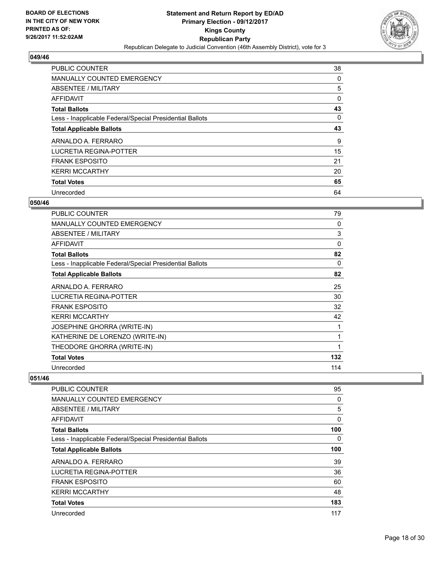

| <b>PUBLIC COUNTER</b>                                    | 38 |
|----------------------------------------------------------|----|
| <b>MANUALLY COUNTED EMERGENCY</b>                        | 0  |
| ABSENTEE / MILITARY                                      | 5  |
| <b>AFFIDAVIT</b>                                         | 0  |
| <b>Total Ballots</b>                                     | 43 |
| Less - Inapplicable Federal/Special Presidential Ballots | 0  |
| <b>Total Applicable Ballots</b>                          | 43 |
| ARNALDO A. FERRARO                                       | 9  |
| LUCRETIA REGINA-POTTER                                   | 15 |
| <b>FRANK ESPOSITO</b>                                    | 21 |
| <b>KERRI MCCARTHY</b>                                    | 20 |
| <b>Total Votes</b>                                       | 65 |
| Unrecorded                                               | 64 |

#### **050/46**

| PUBLIC COUNTER                                           | 79  |
|----------------------------------------------------------|-----|
| <b>MANUALLY COUNTED EMERGENCY</b>                        | 0   |
| <b>ABSENTEE / MILITARY</b>                               | 3   |
| <b>AFFIDAVIT</b>                                         | 0   |
| <b>Total Ballots</b>                                     | 82  |
| Less - Inapplicable Federal/Special Presidential Ballots | 0   |
| <b>Total Applicable Ballots</b>                          | 82  |
| ARNALDO A. FERRARO                                       | 25  |
| <b>LUCRETIA REGINA-POTTER</b>                            | 30  |
| <b>FRANK ESPOSITO</b>                                    | 32  |
| <b>KERRI MCCARTHY</b>                                    | 42  |
| <b>JOSEPHINE GHORRA (WRITE-IN)</b>                       | 1   |
| KATHERINE DE LORENZO (WRITE-IN)                          | 1   |
| THEODORE GHORRA (WRITE-IN)                               | 1   |
| <b>Total Votes</b>                                       | 132 |
| Unrecorded                                               | 114 |

| <b>PUBLIC COUNTER</b>                                    | 95  |
|----------------------------------------------------------|-----|
| <b>MANUALLY COUNTED EMERGENCY</b>                        | 0   |
| ABSENTEE / MILITARY                                      | 5   |
| AFFIDAVIT                                                | 0   |
| <b>Total Ballots</b>                                     | 100 |
| Less - Inapplicable Federal/Special Presidential Ballots | 0   |
| <b>Total Applicable Ballots</b>                          | 100 |
| ARNALDO A. FERRARO                                       | 39  |
| LUCRETIA REGINA-POTTER                                   | 36  |
| <b>FRANK ESPOSITO</b>                                    | 60  |
| <b>KERRI MCCARTHY</b>                                    | 48  |
| <b>Total Votes</b>                                       | 183 |
| Unrecorded                                               | 117 |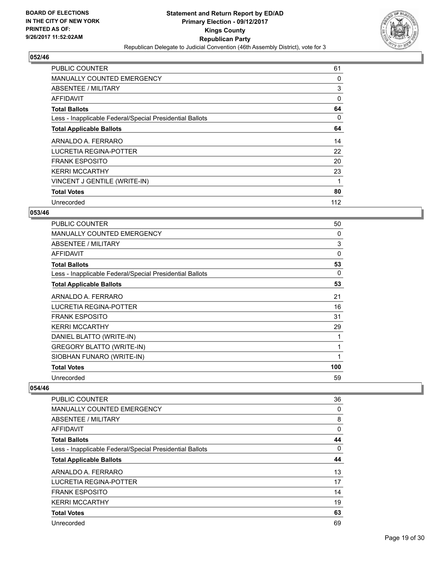

| <b>PUBLIC COUNTER</b>                                    | 61  |
|----------------------------------------------------------|-----|
| <b>MANUALLY COUNTED EMERGENCY</b>                        | 0   |
| <b>ABSENTEE / MILITARY</b>                               | 3   |
| AFFIDAVIT                                                | 0   |
| <b>Total Ballots</b>                                     | 64  |
| Less - Inapplicable Federal/Special Presidential Ballots | 0   |
| <b>Total Applicable Ballots</b>                          | 64  |
| ARNALDO A. FERRARO                                       | 14  |
| LUCRETIA REGINA-POTTER                                   | 22  |
| <b>FRANK ESPOSITO</b>                                    | 20  |
| <b>KERRI MCCARTHY</b>                                    | 23  |
| VINCENT J GENTILE (WRITE-IN)                             | 1   |
| <b>Total Votes</b>                                       | 80  |
| Unrecorded                                               | 112 |

# **053/46**

| <b>PUBLIC COUNTER</b>                                    | 50  |
|----------------------------------------------------------|-----|
| <b>MANUALLY COUNTED EMERGENCY</b>                        | 0   |
| ABSENTEE / MILITARY                                      | 3   |
| AFFIDAVIT                                                | 0   |
| <b>Total Ballots</b>                                     | 53  |
| Less - Inapplicable Federal/Special Presidential Ballots | 0   |
| <b>Total Applicable Ballots</b>                          | 53  |
| ARNALDO A. FERRARO                                       | 21  |
| <b>LUCRETIA REGINA-POTTER</b>                            | 16  |
| <b>FRANK ESPOSITO</b>                                    | 31  |
| <b>KERRI MCCARTHY</b>                                    | 29  |
| DANIEL BLATTO (WRITE-IN)                                 | 1   |
| GREGORY BLATTO (WRITE-IN)                                | 1   |
| SIOBHAN FUNARO (WRITE-IN)                                | 1   |
| <b>Total Votes</b>                                       | 100 |
| Unrecorded                                               | 59  |

| <b>PUBLIC COUNTER</b>                                    | 36 |
|----------------------------------------------------------|----|
| <b>MANUALLY COUNTED EMERGENCY</b>                        | 0  |
| ABSENTEE / MILITARY                                      | 8  |
| <b>AFFIDAVIT</b>                                         | 0  |
| <b>Total Ballots</b>                                     | 44 |
| Less - Inapplicable Federal/Special Presidential Ballots | 0  |
| <b>Total Applicable Ballots</b>                          | 44 |
| ARNALDO A. FERRARO                                       | 13 |
| LUCRETIA REGINA-POTTER                                   | 17 |
| <b>FRANK ESPOSITO</b>                                    | 14 |
| <b>KERRI MCCARTHY</b>                                    | 19 |
| <b>Total Votes</b>                                       | 63 |
| Unrecorded                                               | 69 |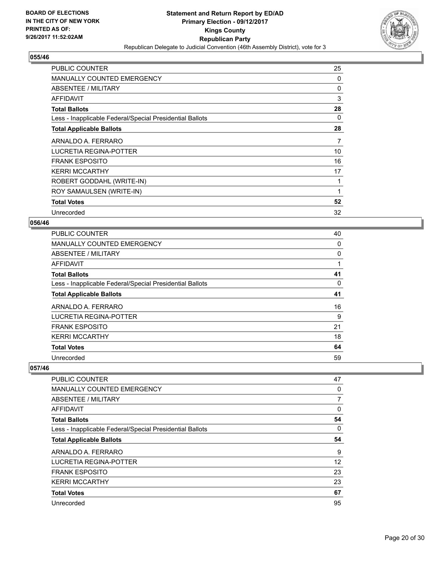

| <b>PUBLIC COUNTER</b>                                    | 25 |
|----------------------------------------------------------|----|
| <b>MANUALLY COUNTED EMERGENCY</b>                        | 0  |
| ABSENTEE / MILITARY                                      | 0  |
| AFFIDAVIT                                                | 3  |
| <b>Total Ballots</b>                                     | 28 |
| Less - Inapplicable Federal/Special Presidential Ballots | 0  |
| <b>Total Applicable Ballots</b>                          | 28 |
| ARNALDO A. FERRARO                                       | 7  |
| LUCRETIA REGINA-POTTER                                   | 10 |
| <b>FRANK ESPOSITO</b>                                    | 16 |
| <b>KERRI MCCARTHY</b>                                    | 17 |
| ROBERT GODDAHL (WRITE-IN)                                | 1  |
| ROY SAMAULSEN (WRITE-IN)                                 | 1  |
| <b>Total Votes</b>                                       | 52 |
| Unrecorded                                               | 32 |

## **056/46**

| <b>PUBLIC COUNTER</b>                                    | 40 |
|----------------------------------------------------------|----|
| <b>MANUALLY COUNTED EMERGENCY</b>                        | 0  |
| ABSENTEE / MILITARY                                      | 0  |
| AFFIDAVIT                                                |    |
| <b>Total Ballots</b>                                     | 41 |
| Less - Inapplicable Federal/Special Presidential Ballots | 0  |
| <b>Total Applicable Ballots</b>                          | 41 |
| ARNALDO A. FERRARO                                       | 16 |
| LUCRETIA REGINA-POTTER                                   | 9  |
| <b>FRANK ESPOSITO</b>                                    | 21 |
| <b>KERRI MCCARTHY</b>                                    | 18 |
| <b>Total Votes</b>                                       | 64 |
| Unrecorded                                               | 59 |

| <b>PUBLIC COUNTER</b>                                    | 47 |
|----------------------------------------------------------|----|
| <b>MANUALLY COUNTED EMERGENCY</b>                        | 0  |
| ABSENTEE / MILITARY                                      | 7  |
| AFFIDAVIT                                                | 0  |
| <b>Total Ballots</b>                                     | 54 |
| Less - Inapplicable Federal/Special Presidential Ballots | 0  |
| <b>Total Applicable Ballots</b>                          | 54 |
| ARNALDO A. FERRARO                                       | 9  |
| LUCRETIA REGINA-POTTER                                   | 12 |
| <b>FRANK ESPOSITO</b>                                    | 23 |
| <b>KERRI MCCARTHY</b>                                    | 23 |
| <b>Total Votes</b>                                       | 67 |
| Unrecorded                                               | 95 |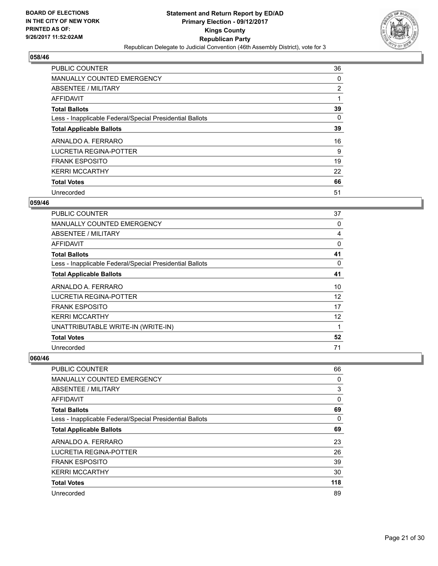

| <b>PUBLIC COUNTER</b>                                    | 36 |
|----------------------------------------------------------|----|
| <b>MANUALLY COUNTED EMERGENCY</b>                        | 0  |
| ABSENTEE / MILITARY                                      | 2  |
| AFFIDAVIT                                                | 1  |
| <b>Total Ballots</b>                                     | 39 |
| Less - Inapplicable Federal/Special Presidential Ballots | 0  |
| <b>Total Applicable Ballots</b>                          | 39 |
| ARNALDO A. FERRARO                                       | 16 |
| LUCRETIA REGINA-POTTER                                   | 9  |
| <b>FRANK ESPOSITO</b>                                    | 19 |
| <b>KERRI MCCARTHY</b>                                    | 22 |
| <b>Total Votes</b>                                       | 66 |
| Unrecorded                                               | 51 |

#### **059/46**

| <b>PUBLIC COUNTER</b>                                    | 37 |
|----------------------------------------------------------|----|
| MANUALLY COUNTED EMERGENCY                               | 0  |
| ABSENTEE / MILITARY                                      | 4  |
| AFFIDAVIT                                                | 0  |
| <b>Total Ballots</b>                                     | 41 |
| Less - Inapplicable Federal/Special Presidential Ballots | 0  |
| <b>Total Applicable Ballots</b>                          | 41 |
| ARNALDO A. FERRARO                                       | 10 |
| <b>LUCRETIA REGINA-POTTER</b>                            | 12 |
| <b>FRANK ESPOSITO</b>                                    | 17 |
| <b>KERRI MCCARTHY</b>                                    | 12 |
| UNATTRIBUTABLE WRITE-IN (WRITE-IN)                       | 1  |
| <b>Total Votes</b>                                       | 52 |
| Unrecorded                                               | 71 |

| PUBLIC COUNTER                                           | 66  |
|----------------------------------------------------------|-----|
| <b>MANUALLY COUNTED EMERGENCY</b>                        | 0   |
| ABSENTEE / MILITARY                                      | 3   |
| AFFIDAVIT                                                | 0   |
| <b>Total Ballots</b>                                     | 69  |
| Less - Inapplicable Federal/Special Presidential Ballots | 0   |
| <b>Total Applicable Ballots</b>                          | 69  |
| ARNALDO A. FERRARO                                       | 23  |
| <b>LUCRETIA REGINA-POTTER</b>                            | 26  |
| <b>FRANK ESPOSITO</b>                                    | 39  |
| <b>KERRI MCCARTHY</b>                                    | 30  |
| <b>Total Votes</b>                                       | 118 |
| Unrecorded                                               | 89  |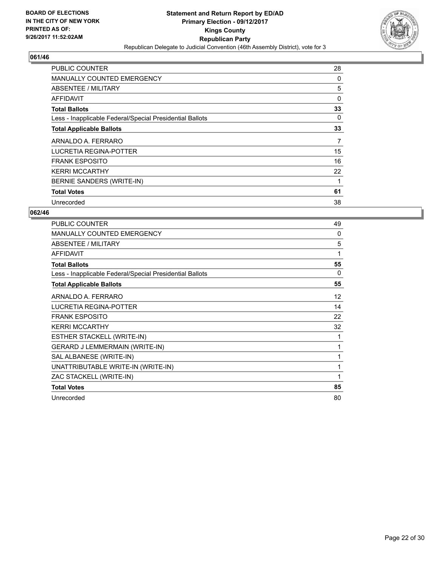

| <b>PUBLIC COUNTER</b>                                    | 28 |
|----------------------------------------------------------|----|
| <b>MANUALLY COUNTED EMERGENCY</b>                        | 0  |
| ABSENTEE / MILITARY                                      | 5  |
| AFFIDAVIT                                                | 0  |
| <b>Total Ballots</b>                                     | 33 |
| Less - Inapplicable Federal/Special Presidential Ballots | 0  |
| <b>Total Applicable Ballots</b>                          | 33 |
|                                                          |    |
| ARNALDO A. FERRARO                                       | 7  |
| <b>LUCRETIA REGINA-POTTER</b>                            | 15 |
| <b>FRANK ESPOSITO</b>                                    | 16 |
| <b>KERRI MCCARTHY</b>                                    | 22 |
| BERNIE SANDERS (WRITE-IN)                                | 1  |
| <b>Total Votes</b>                                       | 61 |

| <b>PUBLIC COUNTER</b>                                    | 49           |
|----------------------------------------------------------|--------------|
| <b>MANUALLY COUNTED EMERGENCY</b>                        | 0            |
| ABSENTEE / MILITARY                                      | 5            |
| <b>AFFIDAVIT</b>                                         | 1            |
| <b>Total Ballots</b>                                     | 55           |
| Less - Inapplicable Federal/Special Presidential Ballots | $\Omega$     |
| <b>Total Applicable Ballots</b>                          | 55           |
| ARNALDO A. FERRARO                                       | 12           |
| <b>LUCRETIA REGINA-POTTER</b>                            | 14           |
| <b>FRANK ESPOSITO</b>                                    | 22           |
| <b>KERRI MCCARTHY</b>                                    | 32           |
| ESTHER STACKELL (WRITE-IN)                               | 1            |
| GERARD J LEMMERMAIN (WRITE-IN)                           | 1            |
| SAL ALBANESE (WRITE-IN)                                  | 1            |
| UNATTRIBUTABLE WRITE-IN (WRITE-IN)                       | $\mathbf{1}$ |
| ZAC STACKELL (WRITE-IN)                                  | 1            |
| <b>Total Votes</b>                                       | 85           |
| Unrecorded                                               | 80           |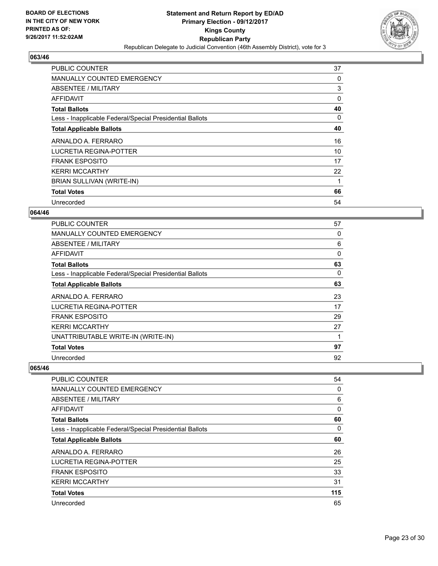

| <b>PUBLIC COUNTER</b>                                    | 37 |
|----------------------------------------------------------|----|
| <b>MANUALLY COUNTED EMERGENCY</b>                        | 0  |
| <b>ABSENTEE / MILITARY</b>                               | 3  |
| AFFIDAVIT                                                | 0  |
| <b>Total Ballots</b>                                     | 40 |
| Less - Inapplicable Federal/Special Presidential Ballots | 0  |
| <b>Total Applicable Ballots</b>                          | 40 |
| ARNALDO A. FERRARO                                       | 16 |
| <b>LUCRETIA REGINA-POTTER</b>                            | 10 |
| <b>FRANK ESPOSITO</b>                                    | 17 |
| <b>KERRI MCCARTHY</b>                                    | 22 |
| BRIAN SULLIVAN (WRITE-IN)                                | 1  |
| <b>Total Votes</b>                                       | 66 |
| Unrecorded                                               | 54 |

# **064/46**

| <b>PUBLIC COUNTER</b>                                    | 57       |
|----------------------------------------------------------|----------|
| <b>MANUALLY COUNTED EMERGENCY</b>                        | 0        |
| <b>ABSENTEE / MILITARY</b>                               | 6        |
| AFFIDAVIT                                                | $\Omega$ |
| <b>Total Ballots</b>                                     | 63       |
| Less - Inapplicable Federal/Special Presidential Ballots | 0        |
| <b>Total Applicable Ballots</b>                          | 63       |
| ARNALDO A. FERRARO                                       | 23       |
| LUCRETIA REGINA-POTTER                                   | 17       |
| FRANK ESPOSITO                                           | 29       |
| <b>KERRI MCCARTHY</b>                                    | 27       |
| UNATTRIBUTABLE WRITE-IN (WRITE-IN)                       | 1        |
| <b>Total Votes</b>                                       | 97       |
| Unrecorded                                               | 92       |

| <b>PUBLIC COUNTER</b>                                    | 54  |
|----------------------------------------------------------|-----|
| <b>MANUALLY COUNTED EMERGENCY</b>                        | 0   |
| ABSENTEE / MILITARY                                      | 6   |
| AFFIDAVIT                                                | 0   |
| <b>Total Ballots</b>                                     | 60  |
| Less - Inapplicable Federal/Special Presidential Ballots | 0   |
| <b>Total Applicable Ballots</b>                          | 60  |
| ARNALDO A. FERRARO                                       | 26  |
| LUCRETIA REGINA-POTTER                                   | 25  |
| <b>FRANK ESPOSITO</b>                                    | 33  |
| <b>KERRI MCCARTHY</b>                                    | 31  |
| <b>Total Votes</b>                                       | 115 |
| Unrecorded                                               | 65  |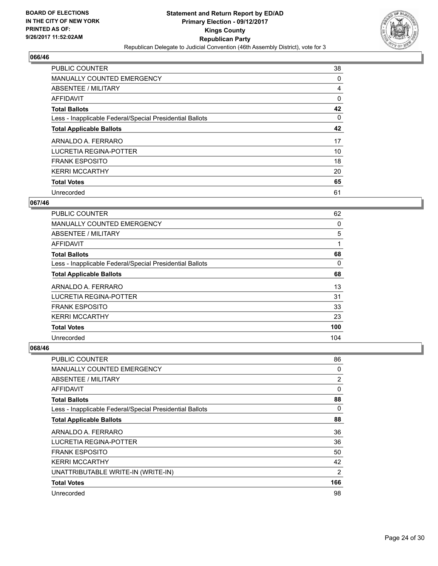

| <b>PUBLIC COUNTER</b>                                    | 38 |
|----------------------------------------------------------|----|
| <b>MANUALLY COUNTED EMERGENCY</b>                        | 0  |
| ABSENTEE / MILITARY                                      | 4  |
| <b>AFFIDAVIT</b>                                         | 0  |
| <b>Total Ballots</b>                                     | 42 |
| Less - Inapplicable Federal/Special Presidential Ballots | 0  |
| <b>Total Applicable Ballots</b>                          | 42 |
| ARNALDO A. FERRARO                                       | 17 |
| LUCRETIA REGINA-POTTER                                   | 10 |
| <b>FRANK ESPOSITO</b>                                    | 18 |
| <b>KERRI MCCARTHY</b>                                    | 20 |
| <b>Total Votes</b>                                       | 65 |
| Unrecorded                                               | 61 |

## **067/46**

| <b>PUBLIC COUNTER</b>                                    | 62  |
|----------------------------------------------------------|-----|
| <b>MANUALLY COUNTED EMERGENCY</b>                        | 0   |
| ABSENTEE / MILITARY                                      | 5   |
| <b>AFFIDAVIT</b>                                         |     |
| <b>Total Ballots</b>                                     | 68  |
| Less - Inapplicable Federal/Special Presidential Ballots | 0   |
| <b>Total Applicable Ballots</b>                          | 68  |
| ARNALDO A. FERRARO                                       | 13  |
| LUCRETIA REGINA-POTTER                                   | 31  |
| <b>FRANK ESPOSITO</b>                                    | 33  |
| <b>KERRI MCCARTHY</b>                                    | 23  |
| <b>Total Votes</b>                                       | 100 |
| Unrecorded                                               | 104 |

| <b>PUBLIC COUNTER</b>                                    | 86  |
|----------------------------------------------------------|-----|
| <b>MANUALLY COUNTED EMERGENCY</b>                        | 0   |
| ABSENTEE / MILITARY                                      | 2   |
| <b>AFFIDAVIT</b>                                         | 0   |
| <b>Total Ballots</b>                                     | 88  |
| Less - Inapplicable Federal/Special Presidential Ballots | 0   |
| <b>Total Applicable Ballots</b>                          | 88  |
| ARNALDO A. FERRARO                                       | 36  |
| <b>LUCRETIA REGINA-POTTER</b>                            | 36  |
| <b>FRANK ESPOSITO</b>                                    | 50  |
| <b>KERRI MCCARTHY</b>                                    | 42  |
| UNATTRIBUTABLE WRITE-IN (WRITE-IN)                       | 2   |
| <b>Total Votes</b>                                       | 166 |
| Unrecorded                                               | 98  |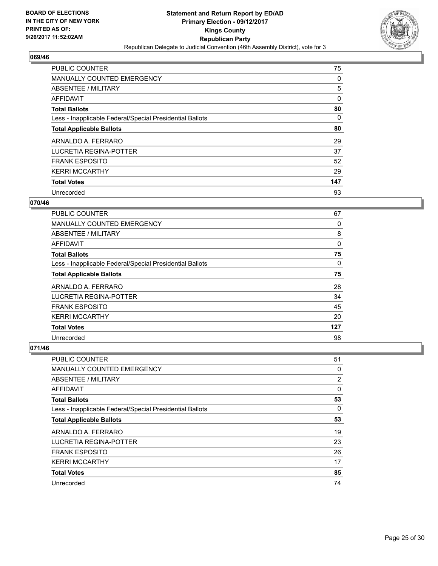

| <b>PUBLIC COUNTER</b>                                    | 75  |
|----------------------------------------------------------|-----|
| <b>MANUALLY COUNTED EMERGENCY</b>                        | 0   |
| ABSENTEE / MILITARY                                      | 5   |
| AFFIDAVIT                                                | 0   |
| <b>Total Ballots</b>                                     | 80  |
| Less - Inapplicable Federal/Special Presidential Ballots | 0   |
| <b>Total Applicable Ballots</b>                          | 80  |
| ARNALDO A. FERRARO                                       | 29  |
| LUCRETIA REGINA-POTTER                                   | 37  |
| <b>FRANK ESPOSITO</b>                                    | 52  |
| <b>KERRI MCCARTHY</b>                                    | 29  |
| <b>Total Votes</b>                                       | 147 |
| Unrecorded                                               | 93  |

#### **070/46**

| <b>PUBLIC COUNTER</b>                                    | 67       |
|----------------------------------------------------------|----------|
| <b>MANUALLY COUNTED EMERGENCY</b>                        | 0        |
| ABSENTEE / MILITARY                                      | 8        |
| AFFIDAVIT                                                | 0        |
| <b>Total Ballots</b>                                     | 75       |
| Less - Inapplicable Federal/Special Presidential Ballots | $\Omega$ |
| <b>Total Applicable Ballots</b>                          | 75       |
| ARNALDO A. FERRARO                                       | 28       |
| LUCRETIA REGINA-POTTER                                   | 34       |
| <b>FRANK ESPOSITO</b>                                    | 45       |
| <b>KERRI MCCARTHY</b>                                    | 20       |
| <b>Total Votes</b>                                       | 127      |
| Unrecorded                                               | 98       |

| PUBLIC COUNTER                                           | 51 |
|----------------------------------------------------------|----|
| <b>MANUALLY COUNTED EMERGENCY</b>                        | 0  |
| ABSENTEE / MILITARY                                      | 2  |
| AFFIDAVIT                                                | 0  |
| <b>Total Ballots</b>                                     | 53 |
| Less - Inapplicable Federal/Special Presidential Ballots | 0  |
| <b>Total Applicable Ballots</b>                          | 53 |
| ARNALDO A. FERRARO                                       | 19 |
| LUCRETIA REGINA-POTTER                                   | 23 |
| <b>FRANK ESPOSITO</b>                                    | 26 |
| <b>KERRI MCCARTHY</b>                                    | 17 |
| <b>Total Votes</b>                                       | 85 |
| Unrecorded                                               | 74 |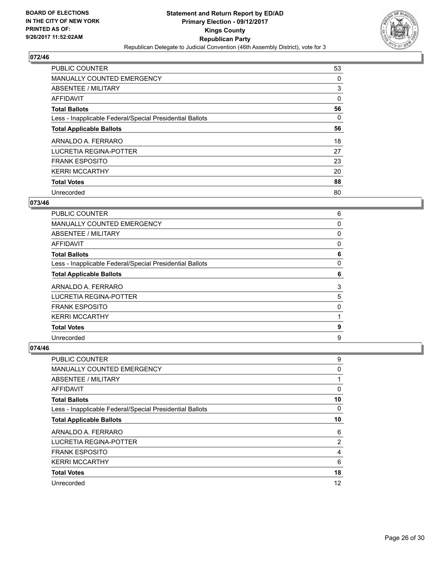

| <b>PUBLIC COUNTER</b>                                    | 53 |
|----------------------------------------------------------|----|
| <b>MANUALLY COUNTED EMERGENCY</b>                        | 0  |
| ABSENTEE / MILITARY                                      | 3  |
| AFFIDAVIT                                                | 0  |
| <b>Total Ballots</b>                                     | 56 |
| Less - Inapplicable Federal/Special Presidential Ballots | 0  |
| <b>Total Applicable Ballots</b>                          | 56 |
| ARNALDO A. FERRARO                                       | 18 |
| LUCRETIA REGINA-POTTER                                   | 27 |
| <b>FRANK ESPOSITO</b>                                    | 23 |
| <b>KERRI MCCARTHY</b>                                    | 20 |
| <b>Total Votes</b>                                       | 88 |
| Unrecorded                                               | 80 |

# **073/46**

| <b>PUBLIC COUNTER</b>                                    | 6 |
|----------------------------------------------------------|---|
| MANUALLY COUNTED EMERGENCY                               | 0 |
| ABSENTEE / MILITARY                                      | 0 |
| AFFIDAVIT                                                | 0 |
| <b>Total Ballots</b>                                     | 6 |
| Less - Inapplicable Federal/Special Presidential Ballots | 0 |
| <b>Total Applicable Ballots</b>                          | 6 |
| ARNALDO A. FERRARO                                       | 3 |
| LUCRETIA REGINA-POTTER                                   | 5 |
| <b>FRANK ESPOSITO</b>                                    | 0 |
| <b>KERRI MCCARTHY</b>                                    |   |
| <b>Total Votes</b>                                       | 9 |
| Unrecorded                                               | 9 |

| <b>PUBLIC COUNTER</b>                                    | 9  |
|----------------------------------------------------------|----|
| <b>MANUALLY COUNTED EMERGENCY</b>                        | 0  |
| ABSENTEE / MILITARY                                      |    |
| AFFIDAVIT                                                | 0  |
| <b>Total Ballots</b>                                     | 10 |
| Less - Inapplicable Federal/Special Presidential Ballots | 0  |
| <b>Total Applicable Ballots</b>                          | 10 |
| ARNALDO A. FERRARO                                       | 6  |
| LUCRETIA REGINA-POTTER                                   | 2  |
| <b>FRANK ESPOSITO</b>                                    | 4  |
| <b>KERRI MCCARTHY</b>                                    | 6  |
| <b>Total Votes</b>                                       | 18 |
| Unrecorded                                               | 12 |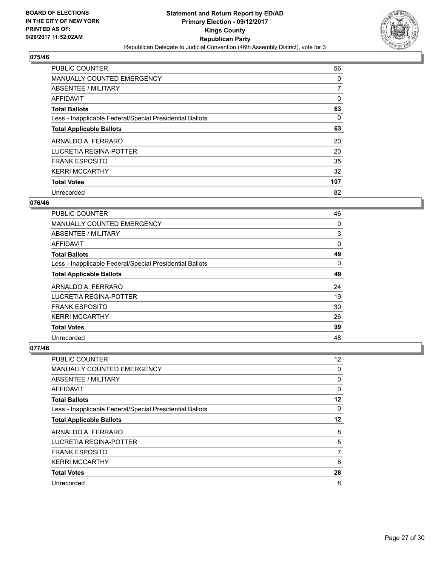

| <b>PUBLIC COUNTER</b>                                    | 56             |
|----------------------------------------------------------|----------------|
| <b>MANUALLY COUNTED EMERGENCY</b>                        | 0              |
| ABSENTEE / MILITARY                                      | $\overline{7}$ |
| AFFIDAVIT                                                | 0              |
| <b>Total Ballots</b>                                     | 63             |
| Less - Inapplicable Federal/Special Presidential Ballots | 0              |
| <b>Total Applicable Ballots</b>                          | 63             |
| ARNALDO A. FERRARO                                       | 20             |
| LUCRETIA REGINA-POTTER                                   | 20             |
| <b>FRANK ESPOSITO</b>                                    | 35             |
| <b>KERRI MCCARTHY</b>                                    | 32             |
| <b>Total Votes</b>                                       | 107            |
| Unrecorded                                               | 82             |

# **076/46**

| PUBLIC COUNTER                                           | 46 |
|----------------------------------------------------------|----|
| <b>MANUALLY COUNTED EMERGENCY</b>                        | 0  |
| ABSENTEE / MILITARY                                      | 3  |
| AFFIDAVIT                                                | 0  |
| <b>Total Ballots</b>                                     | 49 |
| Less - Inapplicable Federal/Special Presidential Ballots | 0  |
| <b>Total Applicable Ballots</b>                          | 49 |
| ARNALDO A. FERRARO                                       | 24 |
| LUCRETIA REGINA-POTTER                                   | 19 |
| <b>FRANK ESPOSITO</b>                                    | 30 |
| <b>KERRI MCCARTHY</b>                                    | 26 |
| <b>Total Votes</b>                                       | 99 |
| Unrecorded                                               | 48 |

| <b>PUBLIC COUNTER</b>                                    | 12 |
|----------------------------------------------------------|----|
| MANUALLY COUNTED EMERGENCY                               | 0  |
| ABSENTEE / MILITARY                                      | 0  |
| AFFIDAVIT                                                | 0  |
| <b>Total Ballots</b>                                     | 12 |
| Less - Inapplicable Federal/Special Presidential Ballots | 0  |
| <b>Total Applicable Ballots</b>                          | 12 |
| ARNALDO A. FERRARO                                       | 8  |
| LUCRETIA REGINA-POTTER                                   | 5  |
| <b>FRANK ESPOSITO</b>                                    | 7  |
| <b>KERRI MCCARTHY</b>                                    | 8  |
| <b>Total Votes</b>                                       | 28 |
| Unrecorded                                               | 8  |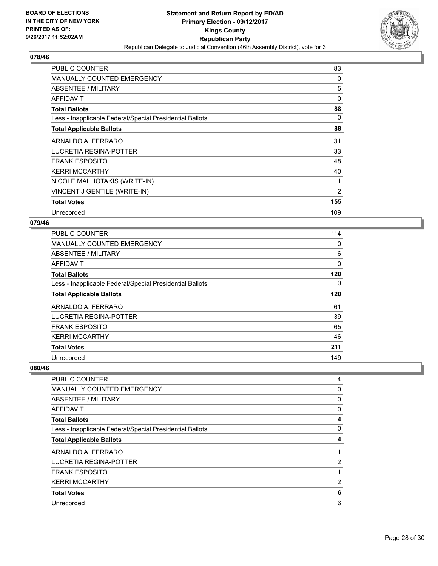

| <b>PUBLIC COUNTER</b>                                    | 83  |
|----------------------------------------------------------|-----|
| <b>MANUALLY COUNTED EMERGENCY</b>                        | 0   |
| ABSENTEE / MILITARY                                      | 5   |
| AFFIDAVIT                                                | 0   |
| <b>Total Ballots</b>                                     | 88  |
| Less - Inapplicable Federal/Special Presidential Ballots | 0   |
| <b>Total Applicable Ballots</b>                          | 88  |
| ARNALDO A. FERRARO                                       | 31  |
| LUCRETIA REGINA-POTTER                                   | 33  |
| <b>FRANK ESPOSITO</b>                                    | 48  |
| <b>KERRI MCCARTHY</b>                                    | 40  |
| NICOLE MALLIOTAKIS (WRITE-IN)                            | 1   |
| VINCENT J GENTILE (WRITE-IN)                             | 2   |
| <b>Total Votes</b>                                       | 155 |
| Unrecorded                                               | 109 |

#### **079/46**

| <b>PUBLIC COUNTER</b>                                    | 114 |
|----------------------------------------------------------|-----|
| MANUALLY COUNTED EMERGENCY                               | 0   |
| ABSENTEE / MILITARY                                      | 6   |
| AFFIDAVIT                                                | 0   |
| <b>Total Ballots</b>                                     | 120 |
| Less - Inapplicable Federal/Special Presidential Ballots | 0   |
| <b>Total Applicable Ballots</b>                          | 120 |
| ARNALDO A. FERRARO                                       | 61  |
| LUCRETIA REGINA-POTTER                                   | 39  |
| <b>FRANK ESPOSITO</b>                                    | 65  |
| <b>KERRI MCCARTHY</b>                                    | 46  |
| <b>Total Votes</b>                                       | 211 |
| Unrecorded                                               | 149 |

| <b>PUBLIC COUNTER</b>                                    | 4              |
|----------------------------------------------------------|----------------|
| MANUALLY COUNTED EMERGENCY                               | 0              |
| ABSENTEE / MILITARY                                      | 0              |
| <b>AFFIDAVIT</b>                                         | 0              |
| <b>Total Ballots</b>                                     | 4              |
| Less - Inapplicable Federal/Special Presidential Ballots | 0              |
| <b>Total Applicable Ballots</b>                          | 4              |
| ARNALDO A. FERRARO                                       | 1              |
| LUCRETIA REGINA-POTTER                                   | $\overline{2}$ |
| <b>FRANK ESPOSITO</b>                                    |                |
| <b>KERRI MCCARTHY</b>                                    | 2              |
| <b>Total Votes</b>                                       | 6              |
| Unrecorded                                               | 6              |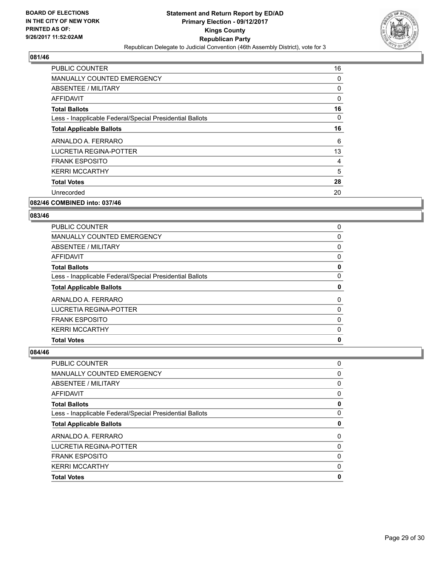

| <b>PUBLIC COUNTER</b>                                    | 16 |
|----------------------------------------------------------|----|
| MANUALLY COUNTED EMERGENCY                               | 0  |
| ABSENTEE / MILITARY                                      | 0  |
| <b>AFFIDAVIT</b>                                         | 0  |
| <b>Total Ballots</b>                                     | 16 |
| Less - Inapplicable Federal/Special Presidential Ballots | 0  |
| <b>Total Applicable Ballots</b>                          | 16 |
| ARNALDO A. FERRARO                                       | 6  |
| LUCRETIA REGINA-POTTER                                   | 13 |
| <b>FRANK ESPOSITO</b>                                    | 4  |
| <b>KERRI MCCARTHY</b>                                    | 5  |
| <b>Total Votes</b>                                       | 28 |
| Unrecorded                                               | 20 |
|                                                          |    |

# **082/46 COMBINED into: 037/46**

#### **083/46**

| <b>PUBLIC COUNTER</b>                                    | 0 |
|----------------------------------------------------------|---|
| <b>MANUALLY COUNTED EMERGENCY</b>                        | 0 |
| ABSENTEE / MILITARY                                      | 0 |
| AFFIDAVIT                                                | 0 |
| <b>Total Ballots</b>                                     | 0 |
| Less - Inapplicable Federal/Special Presidential Ballots | 0 |
| <b>Total Applicable Ballots</b>                          | 0 |
| ARNALDO A. FERRARO                                       | 0 |
|                                                          |   |
| LUCRETIA REGINA-POTTER                                   | 0 |
| <b>FRANK ESPOSITO</b>                                    | 0 |
| <b>KERRI MCCARTHY</b>                                    | 0 |

| PUBLIC COUNTER                                           | 0 |
|----------------------------------------------------------|---|
| <b>MANUALLY COUNTED EMERGENCY</b>                        | 0 |
| ABSENTEE / MILITARY                                      | 0 |
| <b>AFFIDAVIT</b>                                         | 0 |
| <b>Total Ballots</b>                                     | 0 |
| Less - Inapplicable Federal/Special Presidential Ballots | 0 |
| <b>Total Applicable Ballots</b>                          | 0 |
| ARNALDO A. FERRARO                                       | 0 |
| LUCRETIA REGINA-POTTER                                   | 0 |
| <b>FRANK ESPOSITO</b>                                    | 0 |
| <b>KERRI MCCARTHY</b>                                    | 0 |
| <b>Total Votes</b>                                       | 0 |